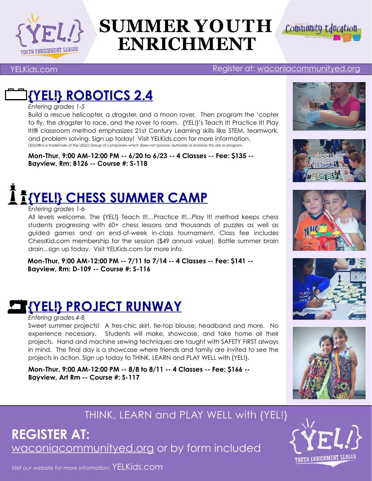

# **SUMMER YOUTH** *Community Education* **ENRICHMENT**



[YELKids.com](http://www.YouthEnrichmentLeague.com)

#### Register at: [waconiacommunityed.org](http://www.waconiacommunityed.org)

### **[{YEL!} ROBOTICS 2.4](http://www.apple.com)**

*Entering grades 1-5*

Build a rescue helicopter, a dragster, and a moon rover. Then program the 'copter to fly, the dragster to race, and the rover to roam. {YEL!}'s Teach It! Practice It! Play It!® classroom method emphasizes 21st Century Learning skills like STEM, teamwork, and problem solving. Sign up today! Visit YELKids.com for more information. LEGO® is a trademark of the LEGO Group of companies which does not sponsor, authorize or endorse this site or program.

**Mon-Thur, 9:00 AM-12:00 PM -- 6/20 to 6/23 -- 4 Classes -- Fee: \$135 -- Bayview, Rm: B126 -- Course #: S-118**

# **[{YEL!} CHESS SUMMER CAMP](http://www.apple.com)**

#### E*ntering grades 1-6*

All levels welcome. The {YEL!} Teach It!…Practice It!...Play It! method keeps chess students progressing with 60+ chess lessons and thousands of puzzles as well as guided games and an end-of-week in-class tournament. Class fee includes ChessKid.com membership for the session (\$49 annual value). Battle summer brain drain...sign up today. Visit YELKids.com for more info.

**Mon-Thur, 9:00 AM-12:00 PM -- 7/11 to 7/14 -- 4 Classes -- Fee: \$141 -- Bayview, Rm: D-109 -- Course #: S-116**



#### *Entering grades 4-8*

Sweet summer projects! A tres-chic skirt, tie-top blouse, headband and more. No experience necessary. Students will make, showcase, and take home all their projects. Hand and machine sewing techniques are taught with SAFETY FIRST always in mind. The final day is a showcase where friends and family are invited to see the projects in action. Sign up today to THINK, LEARN and PLAY WELL with {YEL!}.

**Mon-Thur, 9:00 AM-12:00 PM -- 8/8 to 8/11 -- 4 Classes -- Fee: \$166 -- Bayview, Art Rm -- Course #: S-117**











THINK, LEARN and PLAY WELL with {YEL!}

[waconiacommunityed.org](http://www.waconiacommunityed.org) or by form included **REGISTER AT:**



*Visit our website for more information:* [YELKids.com](http://www.youthenrichmentleague.com)